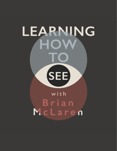## LEARNING HOW **SEE** with Brian McLaren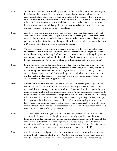- Brian: When I was a preacher, I was preaching one Sunday about freedom and I used the image of breaking out of a box. And then, as preachers frequently do, I got into a little bit of a rant. And I started talking about how we're just surrounded by little boxes in which we live our lives. We wake up in a box called the bed, in a box called a bedroom and we look at the box called our clock to see what time it is. And then we go into the box of our bathroom and look in a box of a mirror and then get in a rectangular box called the shower. Then we go to the box of the closet or the drawer to get our clothes.
- Brian: And then we go to the kitchen, where we open a box of a cupboard and take out a box of cereal and eat our breakfast and then get in the box of our car to go to the box of our office, where we find the box of our cubicle. And we look in the box of our screen all day until we go home to the box of our home on the square block that is a box where we watch the box of a TV until we go to bed and we do it all again the next day.
- Brian: We live in the boxes of our external world. And in some ways, they really do reflect boxes in our internal world, man made structures. And we very often can't see anything outside of them. There's a story in the Gospel of John chapter nine where Jesus is walking along and he comes upon a man who has been blind from birth. And immediately we start to see people's boxes. The disciples say, "Who sinned? This man or his parents that he was born blind?"
- Brian: So you can understand in their box, if something bad happens, there's somebody to blame. And they're intrigued by the question, "If someone is born blind, how can they be blamed for the wrong that made them blind?" And so Jesus basically answers by saying, "I'm not working inside of your box at all. You're working in too small a box." And then he spits in the dust, makes mud and applies it to the man's eyes and tells him to wash in the pool of Siloam nearby. And this blind beggar is healed.
- Brian: But remember, he has never seen Jesus because when he left Jesus to go to the pool, he still couldn't see. He had a cake of mud on each eye. So that story is interesting enough. But one detail that is amazingly common in the Gospels, Jesus does this miracle on the Sabbath again, so he's in trouble with the religious leaders again. And in fact it creates a scandal in the town. And the religious leaders are not happy that a man was healed on the Sabbath. So they call in the man, they call in his parents, they call in the man again, they put them through interrogation and finally the man says, "Look, I don't know what's going on here, I just know I used to be blind, now I can see. And whoever healed me must be from God because it would take the power of God to heal somebody like me." And religious leaders reply, "You were born in sin. And you're trying to teach us."
- Brian: As if to say there is something going on in your history that caused you to be blind. You see, they're in the same box the disciples were. And you might say they have the same blindness within that box that disciples did. That the religious leaders know the cause of this man's blindness. It's that he was born illegitimately. And so Jesus goes on to find the man, introduces himself and says something really weird. "I came into the world for judgment so that those who do not see may see and those who do see may become blind."
- Brian: And then some of the religious leaders are nearby and they hear him say this and they say to him, "Surely we are not blind, are we?" And Jesus said to them, "If you were blind, you would not have sinned. But now that you say, we see your sin remains." This story is just so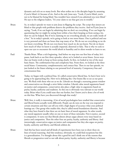dynamic and rich on so many levels. But what strikes me is the disciples begin by assuming if you're blind, it's because of sin. And at the end, Jesus says, "Look, if you're blind, you're not to be blamed for being blind. You wouldn't have sinned if you admitted you were blind." He says to the religious leaders, "It's your claim to see that gets you in trouble."

- Brian: So, in today's episode we want to join Jesus in flipping the script. The script that sinners are blind or that people with problems deserve the problems they receive. And we'll join Jesus in saying, "Look, if we can begin by admitting that we don't see everything. If we can begin by questioning that we might be seeing from within a box that's keeping us from seeing a lot, then we can be helped. But if we're claiming we see everything already, we are really inside of a box." So in today's episode, we're going to look at two more biases. One is political and one is very personal and these are boxes that trap many of us. We do not see everything so we do not know everything. We do not even know how much we do not know. Nor do we know how much of what we know is actually impartial, distorted or false. That is why we seek to open our eyes to encounter the world afresh in humility and in silent wonder to learn to see.
- Paul: Thanks Brian. What a rich beginning. And before we step into our first bias of today, let's pause, look back at our first three episodes, where we've looked at seven biases. Seven ways that our brains work to keep us from seeing clearly. So first, we looked at two of the most basic biases. The confirmation bias and complexity bias. From there, we looked at the three social biases. Community, complementarity and contact bias. Then in our last episode, we just looked at the biases relating to our personal level of maturity. Competency bias and consciousness bias.
- Paul: Today, we began with a political bias. It's called conservative liberal bias. So here's how we're going to be approaching this. How we're defining this. Our brains like to see as our party sees. We flock with those who see as we do. Liberals see through a nurturing parent window and conservatives see through a strict father window. Liberals value moral arguments based on justice and compassion, conservatives also place a high value in arguments based on purity, loyalty, authority and tradition. So this one is obviously very relevant to our world today. Brian what if you could tease that out further, but I know you've done a lot of work on this bias. What have you discovered through that study?
- Brian: Well, first, it really is interesting. A lot of social psychologists have studied that conservative and liberal brains actually work differently. People can do tests on the way you respond to certain situations and they can tell you with a high degree of accuracy what your political leanings are. One group who studies this, they're called moral foundations theorists. And what they have found is that there are six basic lines of moral argument. In other words, any moral argument usually relies on one or more of these rationales. First is justice, second is compassion. It turns out that liberals almost always argue almost every issue based on justice and compassion. Then the other four are purity, loyalty, authority and liberty. And interestingly, conservatives argue on justice and compassion but they also argue on purity, loyalty, authority and liberty, and liberals seldom do.
- Brian: And this has been tested and all kinds of experiments have been run to show these six lines of moral reasoning. And this tendency, obviously, we could find exceptions but this is a generalization. I've thought about this a good bit and I think one of the reasons that liberals or progressives tend to not talk about purity, loyalty, authority and liberty is because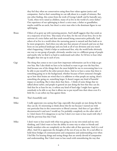they feel they often see conservatives using these four values against justice and compassion. And so that's something we can talk about in a couple of minutes. But one other finding, this comes from the work of George Lakoff, and he basically says, "Look, when we're raised as children, many of us live in the world of a strict father." Our experience of our upbringing is there's a strict man, a father or grandfather, maybe could be an uncle, but there's a strict man who is the dominant figure in our upbringing.

- Brian: Others of us grow up with nurturing parents. And Lakoff suggests that that sends us on a trajectory of our lives. That many of us then, for the rest of our lives, live in the universe of a strict father and that tends toward being conservative politically. And others of us live in a world where the nurturing parent is natural and that leads us to be more progressive. And when you take just that amount of research and you set that loose on our political landscape and you look at all of our divisions and you watch what's happening, I think it helps us understand first, why the world looks obviously one way to one group of people, obviously, another way to a different group of people and maybe why we find it so hard to understand each other. So I'd love to hear what thoughts that stirs up in each of you.
- Gigi: The thing that comes to me is just how important information can be to help us get over bias. But I also think we have to be inclined to want to get over the bias first. And because one of the things that's the most helpful for me in overcoming bias is to be able to put myself in the other person's shoes. And so to have a sense that there is something going on in the background, whether because of how someone's brought up or how their brains are wired that is in addition to what people are saying, there's something else going on, something larger. It doesn't negate any kind of harmful impact or anything. But it does show that there... I think of some things that we talked about earlier, and people in general are just doing the best that they can do. And that for at least for me, it softens any kind of hard edge I might have against somebody to be able to say that it allows me to put myself into their shoes even if a little bit, it can soften my bias against them.
- Brian: That's beautifully said.
- Mike: I really appreciate you saying that Gigi, especially that people are just doing the best they can do. It's interesting to think about this for me because I started out with one particular bias in this conservative to liberal contrast. And then as I got older I deconstructed it and now I would say I'm probably completely on the other side of it. I don't know if it's dangerous to say but I don't ever want to lose touch with why I held the previous bias that I had.
- Mike: I don't want to lose touch with what was going on in my own mind and my own thinking, and I don't want to lose the ability in some way to relate to friends and family members who are completely on the other side of that spectrum. And it's a real effort. And I'd so appreciate the thoughts of the rest of you on this. It's a real effort to hold those bridges of communication and compassion and understanding even when I feel like I'm hearing things and seeing things that are utterly devoid of compassion and understanding. But I don't want to lose touch with remembering the way that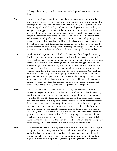I thought about things back then, even though I'm disgusted by some of it, to be honest.

- Paul: I love that. It brings to mind for me about how, the way that mystics, when they speak of their particular path or the way that they participate in reality, that humility is always the first step. And I think with this particular bias, if one person embodies humility regardless of where they land on the political spectrum, they're willing to engage on the supposed other side of the spectrum because they can offer that from a place of humility, of seeking to understand and even conceding points that they maybe didn't see from their own particular bent or bias. And I think of that, that cultivation of humility, if that was ingrained into our politics as a beginning place for conversation, what could happen? How could folks reach across the aisle and see beyond, as you said, just this natural first or foremost pieces that we see through the justice, compassion or the purity, loyalty, authority and liberty? Yeah, I find humility to be the potential bridge to hopefully speak through and speak to one another.
- Brian: You know, Paul, as you said that I think, yeah. And one of the things that humility involves is a refusal to take the position of moral superiority. Because I think this is what we always want. We want to... That not all of us and not all the time, but there's some part of us that is always fighting being ashamed and being put down and so we want to get one up on somebody else. And in so much political discourse... And as you three know, I've been very involved in political campaigns for a number of years so I have skin in the game in this and I feel these temptations. But what I feel as someone who identify... I was brought up very conservative. And, Mike, I'm really glad you mentioned, it's possible for us to change. And my family had a mix. One of my parents was a Republican, one of my parents was a Democrat. I could never remember which was which. Sometimes I wondered if they could remember. But their leanings were politically conservative, especially as as they got older.
- Brian: And I went in a different direction. But as you said, I have empathy. I want to remember the good motives that they had. And one of the things that this challenges and invites me to do is, when I, for example, as a progressive person, I sometimes watch Fox News and I seldom feel that I'm learning anything about reality outside of the television station. But every time I watch, I learn a lot about what motivates their loyal viewers who make up a very significant percentage of the American population. And having this tool from moral foundations theory, I could see, "They're arguing for purity right now." For example, in conservative resistance to accepting equality of LGBTQ persons, many of those arguments are related to certain forms of sex are pure and certain forms of sex are dirty. So that purity language comes in and then I realize, maybe progressives are making conservatives feel inferior because of their stance on racism or on the way they treat transgendered kids and they're coming back by reasserting, "We're not inferior, we're not shamed, we uphold purity."
- Brian: So it becomes this battle of dueling moralisms. And then loyalty. You think, "Loyalty is a great value." But then you think, "How could it be abused?" And respect for authority, there's really a place for that. I agree. In fact, that's one of the things that my parents really taught me, is respect for authority. Yet you think, but if authority figures say to maintain old prejudices, that's perpetuating racism and anti trans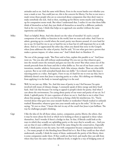attitudes and so on. And the same with liberty. Even in the recent battles over whether you wear a mask or not. You could just see, this is the concern for liberty, I'm free to not wear a mask versus those people who are so concerned about compassion that they don't want to make somebody else sick. And so then, standing up for liberty seems macho and standing up for compassion seems weak. But when I understand that, I realize it's not that those folks think of themselves as bad, they just think of themselves as moral by a different yardstick. And at the very least, I think that helps us to approach one another without the same superiority and disdain.

Mike: That's so helpful, Brian. And who doesn't see the value of morality? It's such a crucial component of our ability to function in the world, how we treat each other. And I have to admit, growing up in a world where the word, purity was thrown around, it's even hard for me to say. It's hard for me to say or hard for me to hear but it's still important for us to talk about. And so I so appreciated the other day, when you shared that story in the Gospels where Jesus addresses the value of purity. And he said, "It's not what goes into a person that makes a person impure, it's what comes out." And I think that's in Matthew 15.

- Mike: The rest of the passage reads, "But Peter said to him, explain this parable to us." And Jesus went on, "Are you also still without understanding? Do you not see that whatever goes into the mouth enters the stomach and goes out into the sewer? But what comes out of the mouth proceeds from the heart and this is what defiles us. For out of our heart come evil intentions, murder, adultery, fornication, theft, false witness, slander. These are what defile a person. But to eat with unwashed hands does not defile." So it doesn't seem like Jesus is rejecting purity as a value. And again, I have to say, it's hard for me to even say that, but it definitely doesn't seem that Jesus is rejecting purity as a value. He's shifting our thinking from applying it to the body to instead applying it to the soul.
- Brian: Well, let me just say, Mike. Yes. And this issue of purity is one I feel because I'm quite involved with issues of climate change, I constantly speak of dirty energy and dirty fossil fuels. And I do that because I'm trying to appeal to people's desire for purity. And when I care about the environment, I'm caring about purity of our water and purity of our air. So I think, I uphold purity. It's just a question of where we see it. And that to me is what I love about that passage. And you even feel Jesus as being a little bit mischievous. It's, "You're worried about what goes into your mouth? Kosher or nonkosher? Hands washed or unhands washed? Remember, whatever goes into your mouth ends up in the toilet." It's his way of saying, "It's not so clean." I know this isn't in any of the creed's but Jesus is just brilliant. The way he challenges people's thinking.
- Gigi: I like the idea of, for all those values, justice, compassion, purity, liberty, the others, that it may be more about the level at which we're looking at them as opposed to those values themselves. And I wonder if there's a bridge in that. In that, if liberals could look at the ways in which they actually are upholding purity or the ways they're actually are... And you can see that it's just a different level. And if the same thing for the conservatives. Especially with, I think justice is not the same, but with compassion because compassion does have a... For many people it's the bleeding heart liberal feel to it. But if they could see that what's underneath, actually, I think for many of them, underneath the purity of the liberty, there is some compassion under there. If they could see that level, and maybe they can talk from where they have the same values but different levels, it might be a way of bridging some of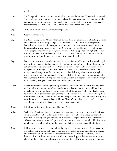that bias.

| Paul:  | That's so good. It makes you think of no value as an island unto itself. They're all connected.<br>They're all supporting one another to build a beautiful landscape to traverse across. I really<br>appreciate that Gigi. I'm curious for you all about the strict father nurturing parent tax. Is<br>there anything that comes up for you all with that in relationship to this?                                                                                                                                                                                                                                                                                                                                                                   |
|--------|------------------------------------------------------------------------------------------------------------------------------------------------------------------------------------------------------------------------------------------------------------------------------------------------------------------------------------------------------------------------------------------------------------------------------------------------------------------------------------------------------------------------------------------------------------------------------------------------------------------------------------------------------------------------------------------------------------------------------------------------------|
| Gigi:  | Well, my mom was the one who was disciplinary.                                                                                                                                                                                                                                                                                                                                                                                                                                                                                                                                                                                                                                                                                                       |
| Paul:  | Got the script already.                                                                                                                                                                                                                                                                                                                                                                                                                                                                                                                                                                                                                                                                                                                              |
| Gigi:  | But I have to say, in the African American culture there is a different way of looking at liberal<br>and conservative. Justice is just huge no matter where you are in the political spectrum.<br>But at least in the culture I grew up in, there was also ultim conservatism when it came to<br>homosexuality, when it came to abortion. But my parents were Democrats. And for many<br>of the people I know in my culture, it was historical. Who supported civil rights? So it came<br>from that difference. And there was a shift, as you probably know, because most African<br>Americans started out Republican because of Abraham Lincoln.                                                                                                    |
| Gigi:  | But then in the 60s and even before, there were two Southern Democrats that just changed<br>their stripes so many So they changed their stripes to Republican, so those who were too<br>still diehard Republicans went over to Democrats. For me personally, I'm neither. I'm an<br>independent. Although I tend to lean toward the democratic liberal side because I tend<br>to lean toward compassion. But I think given my family history, there was nurturing but<br>there was also a lot of strictness and strictness tended to win out. But I think there are other<br>factors, mostly, I think in being part of a basically historically oppressed minority also weighs<br>into where my bias goes when it comes to liberal and conservative. |
| Mike:  | I really appreciate you sharing that Gigi because it's so profoundly insightful and also gives<br>us this look at the limitations of the models and the theories that we use. And how those<br>models and theories can have their own bias. It's built into them. And I think Paul an answer<br>to your question. Same is interesting for me as I, didn't even realize it till we're talking about<br>it in this conversation, I tend to think of political persuasion in a developmental theory. So I<br>don't know, was it Someone here will know. Was it Churchill who said I don't trust anyone<br>who doesn't start out as a liberal and end up as a conservative?                                                                              |
| Brian: | I think so. I think he said something like that. Yeah.                                                                                                                                                                                                                                                                                                                                                                                                                                                                                                                                                                                                                                                                                               |
| Mike:  | Yeah. And it's so funny because for me, to own my own bias, I move and groove in a friend<br>circle where almost all of us to a person started out conservative and ended up liberal. So<br>it's a very interesting thing to ponder how our family of origin affects it, how our friends<br>affects it and how our own development affects it and then to turn around and look at those<br>developmental models and realize they also have their own persuasion and limitations.                                                                                                                                                                                                                                                                     |
| Brian: | I'll just throw one other little bomb into the mix here. I think part of what's happened in<br>our politics in the last several years, is that a new group has come up in addition to liberals<br>and conservatives. And I would call that authoritarians. If anybody's interested, I have a<br>little ebook about this on my website. And I think what happened is authoritarians came<br>along and they talked purity, loyalty, authority and liberty. But what they really valued was                                                                                                                                                                                                                                                             |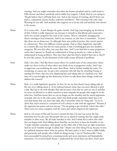winning. And you might remember that when the former president said he could stand in Fifth Avenue and shoot somebody and wouldn't lose support, I think what he was saying is, "People believe that I will help them win. And in the interest of winning, they'll throw out justice, compassion, purity, loyalty, authority and liberty." That winning is the only value. Winning for our side. And anybody who supports us is on our side and anybody who doesn't is the enemy.

- Brian: So it creates this... It just changes the game entirely. And Gigi your bringing up the history of this, I think is really important too, because it reminds us that liberal and conservative aren't two eternal categories that exist in the cosmos. They're constantly changing and they're reacting to local situations. And in our country, we also have to remember... In Jesus' day, there was no democracy. So although there were political parties, they weren't parties in a democracy. They were different interest groups. And so what's happened, especially in a country like ours that has two main parties, is that everything gets put into dualistic categories. We own this value, you own that value. And I even find this in some progressive circles that I operate in. People are embarrassed to bring up loyalty as a value or they're embarrassed to bring up liberty. They have that value but they're afraid if they use it, they'll be seen like traitors. So the binariness of this really creates all kinds of problems.
- Paul: Yeah, I love that. I feel like there's times where I've tucked some of my conservative values under my sleeve in fear of what others may think of me in progressive circles. And I just so appreciate you muddying the water there Brian. And to further muddy the water, I'm wondering, in season one, we got a few comments who felt that by criticizing Trump or naming Fox News, that you were displaying bias and taking sides in a dualistic way. And since we've just brought up this dichotomy of how we talk about these things, could you address this concern?
- Brian: Yeah, it's a really legitimate question. So first, let me say, bias doesn't mean taking sides in the way we're talking about it. To be unbiased doesn't mean that you aren't allowed to pick a side. Bias has to do with whether that side becomes a box that we can't see out of and that we never are allowed to or allow ourselves to have empathy for people who might be in the other box. And bias means that we can no longer see the morality and the moral arguments of people who are in the other party. And I also think people sometimes think that to be non dual means that you don't take sides. But I remember what Dr. King said, "To try to claim that you're neutral in a situation of evil is always to side with the oppressor." Because if the oppressor has power and you just say, "I'm not going to get involved, I don't take sides," Then you're in a sense complicit with the status quo which empowers the oppressor.
- Brian: And so, I'm aware of this and I'm sure I crossed the line, I'm sure I go across the line sometimes but I'm also sure that people who are so afraid of crossing that line might make mistakes in other ways. We all make mistakes in this. And I think this is where that value that you began with, Paul talking about humility, we just have to have the humility to say, "I make mistakes sometimes. And people on the other side of this issue are right sometimes. And let me be humble enough to admit that." Maybe one other thing I'll say, because we live in a political situation where there are parties. My basic policy is that I want to differ boldly and graciously with people who I think are doing wrong. I was in Charlottesville. I have been surrounded by proud boys screaming insults and racist statements and homophobic statements. I've received death threats. I understand the vitriol that's out there. And I don't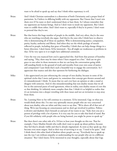want to be afraid to speak up and say that I think white supremacy is evil.

- Brian: And I think Christian nationalism is a distortion of both Christianity and a proper kind of patriotism. So I believe in differing boldly with my opponents. But I know that I won't win them over if I'm nasty or don't understand them or hate them. So I always remember that my opponents are human beings. And so I don't want to insult my opponents. But I don't want to coddle them either. And I don't want to, especially if they're in power, I don't want to pretend that they're not.
- Brian: But that leaves this huge number of people in the middle. And very often, they're the ones who are watching everybody else argue. And they're the ones who I think have to observe who is demonstrating all of those six qualities. Who is demonstrating justice, compassion, purity, loyalty, authority and liberty. And when they see the whole package of morals reflected in people, including that grace of humility, I think that can help change things in a better direction. I don't know, I'd be interested... You all might see weaknesses or problems in that. I'd be very open to it or might have additional comments.
- Paul: I love the way you nuanced how you've approached this. And from that posture of humility and saying, "Hey, there may be times where I have stepped on a line." And can we give grace to one other in those moments so that we can keep the conversation going while still standing firmly in the ground of truth and morality from your own sense of justice and compassion? I just think that's such a beautiful way to engage the conversation. So I appreciate that nuance and also that openness for furthering the dialogue.
- Mike: I also appreciated you just referencing the concept of non duality, because in some of the spiritual circles that I move and groove in, sometimes that concept gets thrown around and it's misunderstood, I think. To mean that we can't ever have an opinion or take a stand or disagree with someone. And it's this misunderstanding that non duality means that we all live in this universal puree of total agreement, when in reality, non duality means it's not this or that thinking. It's infinitely more complex than that. I think it's so helpful to realize that it's an invitation into a deeper wrestling with these issues and not an invitation to step away from them.
- Brian: Yes. Learning How to See will continue in a moment. I'd be interested, Gigi, in what you would think about this. I've met very spiritually sincere people who are very concerned about non duality, who are white and they want to say that, "We're above all of that sort of thing. We're just focusing on consciousness and we don't get involved in politics. Politics is divisive and dualistic that's beneath us and part of me wants to say, "Yeah, here you are a person of privilege with a lot of power. It is very easy for you to take that kind of stand. But if you felt solidarity with people who are being harmed, you might be prone to speak up."
- Brian: But then there's one other side of it, I'd love to hear your thought on this too. That for example, I have Muslim friends who really don't want to speak up about politics, because they feel they're already visible and they're already stigmatized. As soon as they speak up, they become even more targets. And so their way of surviving is to say, "I need to be quiet." And I think there's this other kind of dualism where people can say, "Everybody has to speak up just the way I am without empathy or understanding for our people who are in a different situation." But I don't know, I'd be interested in your thoughts, especially about that Gigi.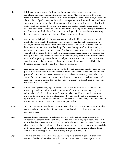- Gigi: It brings to mind a couple of things. One is, we were talking about the simplicity, complexity bias. And I think it's the simple thing to say, "I'm above duality." It's a simple thing to say that, "I'm above politics." But in reality if you're living on the earth, you can't be above politics, if you're living on the earth, to even get out of bed and walk to the bathroom, you got to be in the world of duality. So non duality, I think sometimes gets confused with unity, which gets confused with uniformity. And non duality basically means not two not one. And so you're not siding on all unity, and you're not siding on all duality, you're alone in that hole. And we think of the Trinity as a non dual symbol, you have three distinct beings, but they're one and so you don't become this one amorphous thing.
- Gigi: And one of the beings in the Trinity was very much involved in politics, was very much involved in the world. So I don't know how you can say that I'm really practicing non duality, and that being your body and the world. Especially if you're Christian I don't see how you can do that. And the other thing, I'm remembering, there's a... I hope is okay to talk about other podcasts on this podcast. But there's a podcast that I binge listened to last year called Busy Being Black. It was by a multiracial, African American white Irish mother, who grew up in London came to the states in the south, they went back to England, who's queer. And he grew up in what he would call proximity to whiteness, because he was very very light skinned, he had lots of privilege. And then as things happened in his life, he became in a place where he started to reclaim his blackness.
- Gigi: And he did this podcast to just learn how to do that and just talking mostly blacks, but other people of color and once in a while the white person. And when he would talk to different people of color who were queer, they were always... There were white gay men who were saying, "You got to come out, that's the best thing you can do, you can always come out." And one of the guys he talked to was this, I can't remember which Arab country, maybe it was Persia, maybe was Iran.
- Gigi: But this was a person who, if got out that he was queer, he could have been killed. And somebody outed him and so he had to run for his life. And so it's one thing to say, "I'm going to be out." It's one thing to say, "I'm going to be in politics, because it doesn't hurt me to say to stand up on the side of someone who's oppressed." But to ask someone who's oppressed to do that without taking into account what it will cost them, I think is actually to further their oppression. So that that's where I go into that.
- Brian: What an amazing story and it just seems to me that brings us back to that value of humility and that value of compassion. To have compassion that other people are not in the same situation as I am.
- Gigi: Another thing I think about is just kinds of ways, practices, that we can engage in to overcome our conservative liberal biases, both for even if we're staying in liberal circles just to broaden that conversation, as well as when we're talking to others that were close to or not close to who may be on a different side than we are. And what comes to my mind, especially in the things that we've been talking about is this practice of discernment. I learned that discernment really happens when you're trying to figure out two goods.
- Gigi: And you look at all those values that you're talking about they're all good. But for some reason, we've allowed ourselves to say that because certain people are saying this value,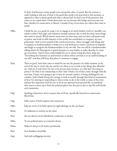it's bad. And because certain people were saying this value, it's good. But the sermon is really looking at this way of what is the good that needs to be practiced in this moment, as opposed to what is always good and what is always bad. So that's one of the practices that comes to my mind when I think about how we can become this bridge and overcome our bias, whether it's conservative or liberal. I wonder if any of you have any others that come to mind?

- Mike: I think for me, as a good yin yang, I try to engage in as much shadow work as I possibly can, which is when I feel anger and resistance towards someone else to look for those same things that work in myself. Which doesn't mean that you then stop, and you don't still speak truth to power, and work to shift injustice in the world, but nonetheless to recognize my own projections. And so even instead of the word conservative, when I struggle with things that I recognize as fundamentalism, it helps me to step back just to create a moment of empathy and laugh or recognize the fundamentalism in my own life. You can still be a fundamentalist talking about the Enneagram or spiral dynamics or non duality or order disorder. It creeps up everywhere. And it's been really helpful for me to always bring that back. Jung says "Everything that frustrates us and irritates us about others can lead us to an understanding of our self," and then still from that place to continue to engage.
- Paul: That's so good. And what came to mind for me was the practice of a daily examine, at the end of the day to review the day and for me often to try to look at the things that offended me. And was I truly hurt? Or was it my persona that was hurt, or a fear that I'm trying to protect? Or what is my relationship to that? And I think a lot of that comes through with the next bias, I know we're going to get to hear it's around comfort, is being challenged in my comfort. And I think having the courage to look at myself, through that kind of examination of how I'm reacting or responding to what is mine to do in the world, is some of the most arduous but important work for me to do in my spiritual incarnational life, as somebody who wants to show up in both the political sphere but also just in day to day life with family and community.
- Gigi: Speaking of practices, here's a prayer that we'll use, specifically focused on conservative liberal bias.
- Gigi: Holy source of both surprise and consistency,
- Mike: help me never to be held captive by rigid ideology on the one hand.
- Brian: Or addiction to novelty on the other.
- Paul: Do not that let me be blinded by conformity or loyalty.
- Mike: To any political party or economic theory.
- Brian: Help me always to do justice persistently.

Paul: Love kindness cheerfully.

Gigi: And with unflagging sincerity.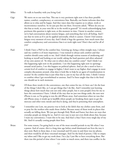- Mike: To walk in humility with you living God.
- Gigi: We move on to our next bias. This one is very pertinent right now it has three possible names, comfort, complacency, or convenience bias. Basically, our brains welcome data that allows us to relax and be happy. And they reject data that requires us to adjust, work or inconvenience ourselves. So we just put this out there. Everyone asked, "Where do you see this bias at work, in your own life or in the world in general?" It's worth acknowledging how pertinent this question is right now, at this moment in time. I know in another context, we've had conversations about tension fatigue, and something that we're all feeling. And I use that we term as if it can be applied universally, which it cannot. I know I feel tension fatigue every moment of every day. And I think it begs the question, how much more that comfort complacency and convenience bias is at work right now? How's that real for all of you?
- Paul: I think I have a PhD in the comfort bias. Growing up, being a white straight man, I always said my comfort is of most importance. I was trained to always seek comfort and that comfort should come easily to me. And I think through various seasons of awakening and looking at myself and looking at our world, asking the hard question and often ashamed of my own answer of, "At what cost to others does my comfort come?" And I think I see this happening right now in the pandemic. I see this happening right now in uprisings around racial justice, I see this happen on political spheres. And yet also a need to have a certain level of comfort to engage in higher, I don't want to say higher, that's engage in more complex discussions around, what does it look like to help be an agent of transformation in society? So the comfort bias is just what that is, just in my face all the time. I think I retreat to comfort when I get overwhelmed or anxious. And I've been taught that that is the food one should eat in such moments.
- Gigi: Of those three words it's the convenience, one that comes for me, it's how can I do the least of the things I don't like, so I can get things that I do like. And I remember just learning things about how much that cost not only other people, but it costs people's lives for me to have the convenience I have. I think of the way that we just toss things aside, the next new iPhone is out, so I'm going to toss the old iPhone away. And sometimes when we toss that old iPhone away, it winds up in landfills where people are breaking them open to get the mercury and other toxic metals and they're dying, and they're poisoning their atmosphere.
- Gigi: I remember one Lent, my practice was to look at the labels that my clothes came from, and to pray for the workers who made those clothes. Because many of them work in places that actually are killing them. We just got through Holy Week and Easter, but there are ways that everyday people are dying for us. And it's very easy to just not even think about that, because I want my convenience, I want this to be easy. And that's a bias I have every single day of my life. And it's actually costing people their lives.
- Brian: For some reason, I'm going back to one of the most stressful periods in my life when I was a pastor. And of course, this is a long time ago before email dominated our lives the way it does now. Back in those days, it was voicemail and I'd come in and there was my phone, and there would be all these voicemail messages. And I'm the kind of person, I like to empty my inbox and I like to get my work done. I'm a Jay I just like to have everything done. But there was this period of time where I was under so much stress, and there was conflict in the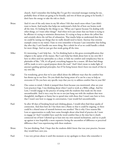church. And I remember this feeling like I've got five voicemail messages waiting for me, probably three of them are going to be friendly, and two of them are going to be hostile, I don't have the energy to take the risk to check.

- Brian: And it's one of the only times in my life where I felt that much stress where I just didn't want to know. And maybe that helps me understand a little bit of how our brains work all the time. It's looking for the things to say, "What can I ignore because I'm dealing with other things, or I want other things?" And when we're just aware that our brain is trying to be efficient it's trying to minimize distractions. It's trying to keep us above the yellow line and certainly above the red line of exhaustion. That maybe helps us understand that then we could be tuning out things that we really should need to know. Anyway that extreme example comes to my mind, I hate to even remember it because I just remember that feeling day after day, I can't handle one more thing. But a whole lot of us we could handle a whole lot more things. And we just got that mode going all the time.
- Mike: It's interesting, I can't help but... So I'm thinking back to this gross oversimplification that religion is the opiate of the masses. But I can't help but think about how in my own life I have so often used my spirituality as a cheat, to hide my comfort and complacency bias in platitudes of like, "Oh, it's all good, everything happens for a reason. All these bad things will be made to serve a good purpose down the road." And I don't mean to make light of anyone's guiding spiritual principles, but if I'm being honest there's been too much of that in my own life.
- Gigi: I'm wondering, given that we've just talked about the different ways that the comfort bias has shown up in our lives. Do you think that being aware of it can be a way to help us overcome it? Do you have any specific ways that you try to address comfort bias in your life?
- Paul: One comes to mind, I think it jumped there from because you mentioned, what are your Lent practices Gigi, I was thinking about when I used to work at a Bible college. And for Lent, I would engage in the practice of eating with the students that made me the most uncomfortable. And it was a way for me to not just hang out with the students that were thoughtful, intelligent or funny but to spend time with those that I wasn't sure how to love, that I wasn't sure how to engage in conversation, I just would feel uncomfortable.
- Paul: So after 40 days of breaking bread and clinking glasses, I would often find these sparks of connection. And then how do I fan them into a flame so that it could be ongoing, or there could be a shared sense of warmth between one another? This is why I love seasons like Lent or opportunities to really have some foresight about what kind of practice do I want to engage in? And I wouldn't have used the word comfort bias at the time but it clearly connected me of how I showed up to lean into my own natural inclinations, and try to push up against it into hopefully a more expansive loving the uncomfort of difference or perceived difference that I was experiencing with these students.
- Brian: I'm just thinking, Paul, I hope that the students didn't know that was your practice, because they would have seen you.

Paul: I was very private about it until this moment so my apologies to those who remember it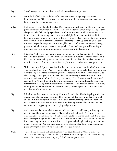Gigi: There's a single tear running down the cheek of one listener right now.

- Brian: But I think of father Richard's beautiful statement where he says he prays for one humiliation today. Which is probably a good way to say let me expect at least once a day to have my comfort disrupted somehow.
- Mike: It's interesting, too. I love both Paul and Gigi have mentioned Lent and I have an Orthodox priest friend who always reminds me he's like "You Westerners always forget that a good fast always has to be followed by a good feast." And so I think he's... And he's very often right in his critique of man saying that. I think what's helpful for me too in this is to think of legitimate ways to bring comfort into my life proactively, so that I then can be more ruthless with the ways I hide in that bias. Whether it's spending an extra 75 cents to get the good tissues or the good toilet paper or something like that, I don't know. But just really being proactive to find really good ways to have good self care that's not spiritual bypassing, so then I can be a little bit more honest in my engagement with discomfort.
- Gigi: I like that. And I guess that in some ways, that segues into another question that I have, which is, do you think there's ever a time when we simply can't afford more demands on us like what Brian was talking about, but even more so for people in the social circumstances they find themselves? Are there other times maybe when a comfort bias could protect us?
- Brian: Yeah, I think that helps us remember that there is a evolutionary value for all of these biases. They are there for a reason. And so I think we have to accept that yeah, there are times where I need to say, "I can't take any more right now." I suppose that's what Sabbath is about. It's about saying, "Look, you can't ask me to do work on this day, I need this time off" And vacations, holidays, all of this they're ways that we say, "I need comfort and I need a rest" And maybe we'll find if we... Maybe one of the reasons why comfort bias rules us so often is that we're not taking those times that we need for rest. I just heard on some documentary recently about how Americans are the worst country for taking vacations. And so I think there is a lot of wisdom in that.
- Gigi: I think about there was a season in my life where I'd had a lot of bad things happen in short succession. So I'd had a car accident and lost my car and then right after that lost the job and as a result of losing that Job had lost the place that I was living. It was like dominoes one thing after another. And I was trapped in all these big existential questions about why everything was happening. And I was trying to figure it out.
- Gigi: And a dear friend of mine who's a mentor and a therapist, he and I were just hanging out one night and he said, "Just remember Maslow's hierarchy of needs it's okay to let go of everything but survival right now, it really is okay just to survive this crisis, and then wrestle with the deeper things on the other side of it." And I don't know if that's helpful or not, but it was so freeing for me to know that it was really genuinely all right to just go into survival mode for a little bit. And also then was a lot more effective when I did worry about more practical things like somewhere to live and how to pay my bills.
- Brian: Yes, well, that resonates with that beautiful Franciscan statement, "What is mine to do? What is mine to do right now?" And maybe what's mine to do right now is survive and say no to all the requests that come my way. I think that's super healthy.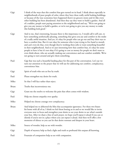- Gigi: I think of the ways that this comfort bias gets turned on its head. I think about especially in neighborhoods of poor people of color, where they have these really awful looking buildings, or because of the way economics have happened there's no grocery stores and it's like every other building has been abandoned. And then they say they want to build a garden. And all of a sudden, people start paying attention to the neighborhood and say, "We're not going to give you any money to build a garden, or we're not going to give you any money to make this building look good."
- Gigi: And to me, that's interesting, because there is this importance to, I would call it self care, to have something aesthetically pleasing, something that gives you joy and comfort in the midst of a really awful situation. And yet, it's okay for people who can go out and buy their toys to have a comfort bias. But it's not okay for someone who is just trying to live hand to mouth and can't even do that, even though they're working three jobs to want something beautiful in their neighborhood. And so it's just interesting how that comfort bias, it's okay for some people to have it but it's not okay if it's going to cost us money for people we don't want to even think about, who are actually making our convenience and our comfort available. We're not going to turn around and give them something.
- Paul: Gigi that was such a beautiful landing place for this part of the conversation. Let's say we turn our attention to the prayer that we will use for addressing our comfort, complacency, convenience bias.
- Gigi: Spirit of truth who sets us free by truth.
- Paul: Please strengthen my desire for truth.
- Mike: So that I will face rather than reject.
- Brian: Truths that inconvenience me.
- Gigi: Grant me the resolve to welcome the pain that often comes with wisdom.
- Paul: Help me choose empathy over apathy.
- Mike: Helped me choose courage over complacency.
- Brian: And helped me to abhorred the bliss that accompanies ignorance. For these two biases hit home with all of us, I think we feel them boxing us in and so we would like to invite everyone now to focus and strengthen your desire to see your desire to see what's outside your box. After we share a line of each prayer, we hope you'll repeat it aloud if you can or silently if you're not in a place where you can repeat it aloud. And then we'll offer a few moments of silence so you can let that desire resonate and deepen in your heart.
- Mike: Source of wonder, help us see with wonder.
- Gigi: Depth of mystery help us find a light and truth so profound this surpass all knowing.

Paul: Fountain of compassion help us see with compassion.